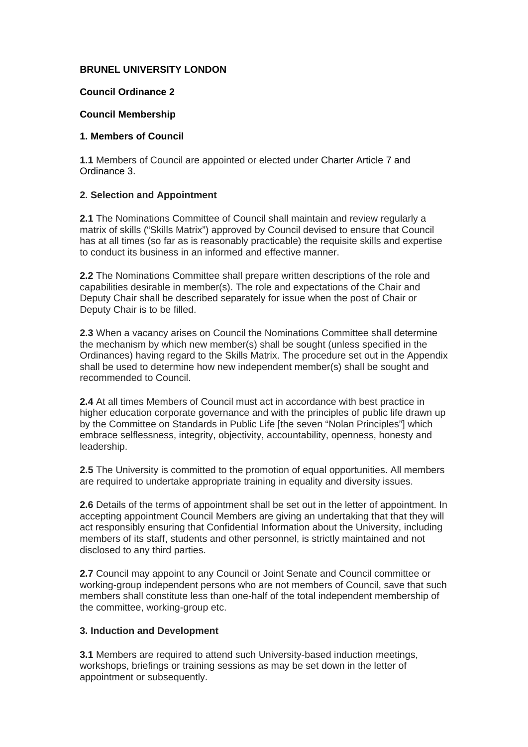### **BRUNEL UNIVERSITY LONDON**

### **Council Ordinance 2**

#### **Council Membership**

#### **1. Members of Council**

**1.1** Members of Council are appointed or elected under Charter Article 7 and Ordinance 3.

### **2. Selection and Appointment**

**2.1** The Nominations Committee of Council shall maintain and review regularly a matrix of skills ("Skills Matrix") approved by Council devised to ensure that Council has at all times (so far as is reasonably practicable) the requisite skills and expertise to conduct its business in an informed and effective manner.

**2.2** The Nominations Committee shall prepare written descriptions of the role and capabilities desirable in member(s). The role and expectations of the Chair and Deputy Chair shall be described separately for issue when the post of Chair or Deputy Chair is to be filled.

**2.3** When a vacancy arises on Council the Nominations Committee shall determine the mechanism by which new member(s) shall be sought (unless specified in the Ordinances) having regard to the Skills Matrix. The procedure set out in the Appendix shall be used to determine how new independent member(s) shall be sought and recommended to Council.

**2.4** At all times Members of Council must act in accordance with best practice in higher education corporate governance and with the principles of public life drawn up by the Committee on Standards in Public Life [the seven "Nolan Principles"] which embrace selflessness, integrity, objectivity, accountability, openness, honesty and leadership.

**2.5** The University is committed to the promotion of equal opportunities. All members are required to undertake appropriate training in equality and diversity issues.

**2.6** Details of the terms of appointment shall be set out in the letter of appointment. In accepting appointment Council Members are giving an undertaking that that they will act responsibly ensuring that Confidential Information about the University, including members of its staff, students and other personnel, is strictly maintained and not disclosed to any third parties.

**2.7** Council may appoint to any Council or Joint Senate and Council committee or working-group independent persons who are not members of Council, save that such members shall constitute less than one-half of the total independent membership of the committee, working-group etc.

### **3. Induction and Development**

**3.1** Members are required to attend such University-based induction meetings, workshops, briefings or training sessions as may be set down in the letter of appointment or subsequently.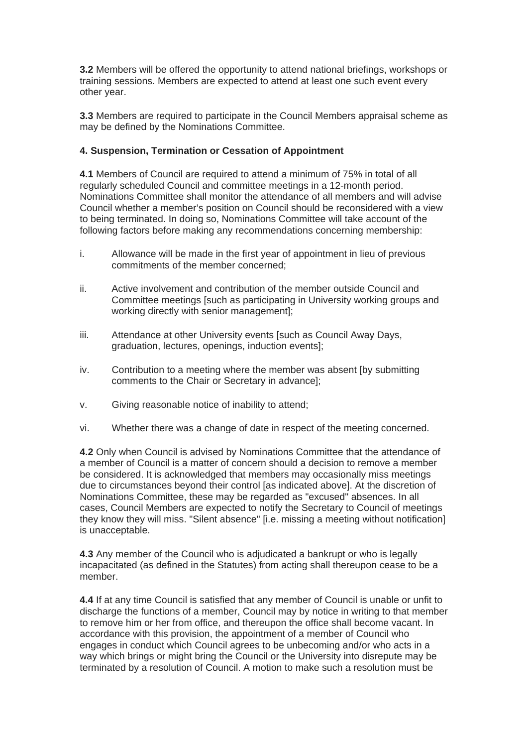**3.2** Members will be offered the opportunity to attend national briefings, workshops or training sessions. Members are expected to attend at least one such event every other year.

**3.3** Members are required to participate in the Council Members appraisal scheme as may be defined by the Nominations Committee.

## **4. Suspension, Termination or Cessation of Appointment**

**4.1** Members of Council are required to attend a minimum of 75% in total of all regularly scheduled Council and committee meetings in a 12-month period. Nominations Committee shall monitor the attendance of all members and will advise Council whether a member's position on Council should be reconsidered with a view to being terminated. In doing so, Nominations Committee will take account of the following factors before making any recommendations concerning membership:

- i. Allowance will be made in the first year of appointment in lieu of previous commitments of the member concerned;
- ii. Active involvement and contribution of the member outside Council and Committee meetings [such as participating in University working groups and working directly with senior management];
- iii. Attendance at other University events [such as Council Away Days, graduation, lectures, openings, induction events];
- iv. Contribution to a meeting where the member was absent [by submitting comments to the Chair or Secretary in advance];
- v. Giving reasonable notice of inability to attend;
- vi. Whether there was a change of date in respect of the meeting concerned.

**4.2** Only when Council is advised by Nominations Committee that the attendance of a member of Council is a matter of concern should a decision to remove a member be considered. It is acknowledged that members may occasionally miss meetings due to circumstances beyond their control [as indicated above]. At the discretion of Nominations Committee, these may be regarded as "excused" absences. In all cases, Council Members are expected to notify the Secretary to Council of meetings they know they will miss. "Silent absence" [i.e. missing a meeting without notification] is unacceptable.

**4.3** Any member of the Council who is adjudicated a bankrupt or who is legally incapacitated (as defined in the Statutes) from acting shall thereupon cease to be a member.

**4.4** If at any time Council is satisfied that any member of Council is unable or unfit to discharge the functions of a member, Council may by notice in writing to that member to remove him or her from office, and thereupon the office shall become vacant. In accordance with this provision, the appointment of a member of Council who engages in conduct which Council agrees to be unbecoming and/or who acts in a way which brings or might bring the Council or the University into disrepute may be terminated by a resolution of Council. A motion to make such a resolution must be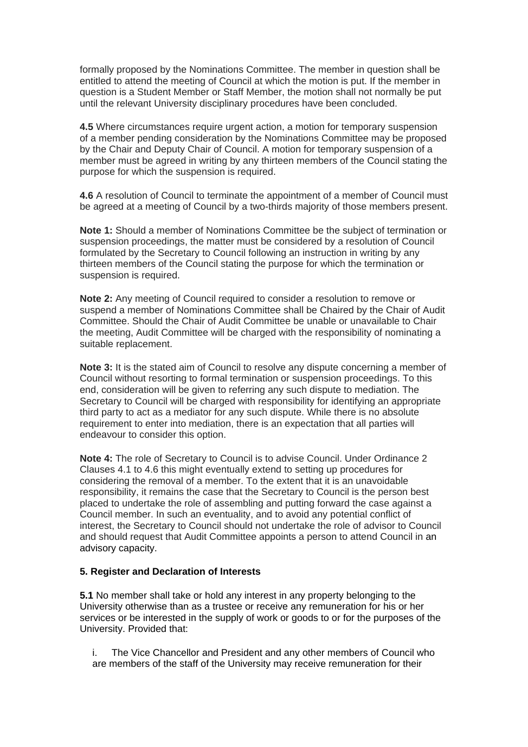formally proposed by the Nominations Committee. The member in question shall be entitled to attend the meeting of Council at which the motion is put. If the member in question is a Student Member or Staff Member, the motion shall not normally be put until the relevant University disciplinary procedures have been concluded.

**4.5** Where circumstances require urgent action, a motion for temporary suspension of a member pending consideration by the Nominations Committee may be proposed by the Chair and Deputy Chair of Council. A motion for temporary suspension of a member must be agreed in writing by any thirteen members of the Council stating the purpose for which the suspension is required.

**4.6** A resolution of Council to terminate the appointment of a member of Council must be agreed at a meeting of Council by a two-thirds majority of those members present.

**Note 1:** Should a member of Nominations Committee be the subject of termination or suspension proceedings, the matter must be considered by a resolution of Council formulated by the Secretary to Council following an instruction in writing by any thirteen members of the Council stating the purpose for which the termination or suspension is required.

**Note 2:** Any meeting of Council required to consider a resolution to remove or suspend a member of Nominations Committee shall be Chaired by the Chair of Audit Committee. Should the Chair of Audit Committee be unable or unavailable to Chair the meeting, Audit Committee will be charged with the responsibility of nominating a suitable replacement.

**Note 3:** It is the stated aim of Council to resolve any dispute concerning a member of Council without resorting to formal termination or suspension proceedings. To this end, consideration will be given to referring any such dispute to mediation. The Secretary to Council will be charged with responsibility for identifying an appropriate third party to act as a mediator for any such dispute. While there is no absolute requirement to enter into mediation, there is an expectation that all parties will endeavour to consider this option.

**Note 4:** The role of Secretary to Council is to advise Council. Under Ordinance 2 Clauses 4.1 to 4.6 this might eventually extend to setting up procedures for considering the removal of a member. To the extent that it is an unavoidable responsibility, it remains the case that the Secretary to Council is the person best placed to undertake the role of assembling and putting forward the case against a Council member. In such an eventuality, and to avoid any potential conflict of interest, the Secretary to Council should not undertake the role of advisor to Council and should request that Audit Committee appoints a person to attend Council in an advisory capacity.

### **5. Register and Declaration of Interests**

**5.1** No member shall take or hold any interest in any property belonging to the University otherwise than as a trustee or receive any remuneration for his or her services or be interested in the supply of work or goods to or for the purposes of the University. Provided that:

i. The Vice Chancellor and President and any other members of Council who are members of the staff of the University may receive remuneration for their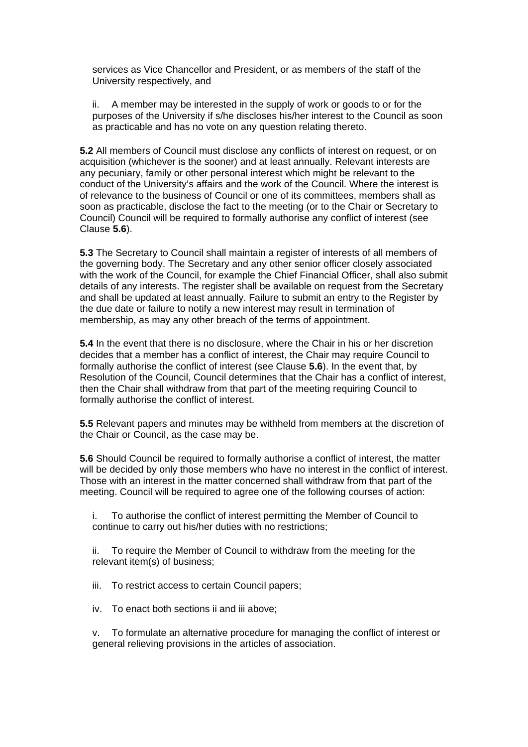services as Vice Chancellor and President, or as members of the staff of the University respectively, and

ii. A member may be interested in the supply of work or goods to or for the purposes of the University if s/he discloses his/her interest to the Council as soon as practicable and has no vote on any question relating thereto.

**5.2** All members of Council must disclose any conflicts of interest on request, or on acquisition (whichever is the sooner) and at least annually. Relevant interests are any pecuniary, family or other personal interest which might be relevant to the conduct of the University's affairs and the work of the Council. Where the interest is of relevance to the business of Council or one of its committees, members shall as soon as practicable, disclose the fact to the meeting (or to the Chair or Secretary to Council) Council will be required to formally authorise any conflict of interest (see Clause **5.6**).

**5.3** The Secretary to Council shall maintain a register of interests of all members of the governing body. The Secretary and any other senior officer closely associated with the work of the Council, for example the Chief Financial Officer, shall also submit details of any interests. The register shall be available on request from the Secretary and shall be updated at least annually. Failure to submit an entry to the Register by the due date or failure to notify a new interest may result in termination of membership, as may any other breach of the terms of appointment.

**5.4** In the event that there is no disclosure, where the Chair in his or her discretion decides that a member has a conflict of interest, the Chair may require Council to formally authorise the conflict of interest (see Clause **5.6**). In the event that, by Resolution of the Council, Council determines that the Chair has a conflict of interest, then the Chair shall withdraw from that part of the meeting requiring Council to formally authorise the conflict of interest.

**5.5** Relevant papers and minutes may be withheld from members at the discretion of the Chair or Council, as the case may be.

**5.6** Should Council be required to formally authorise a conflict of interest, the matter will be decided by only those members who have no interest in the conflict of interest. Those with an interest in the matter concerned shall withdraw from that part of the meeting. Council will be required to agree one of the following courses of action:

i. To authorise the conflict of interest permitting the Member of Council to continue to carry out his/her duties with no restrictions;

ii. To require the Member of Council to withdraw from the meeting for the relevant item(s) of business;

iii. To restrict access to certain Council papers;

iv. To enact both sections ii and iii above;

v. To formulate an alternative procedure for managing the conflict of interest or general relieving provisions in the articles of association.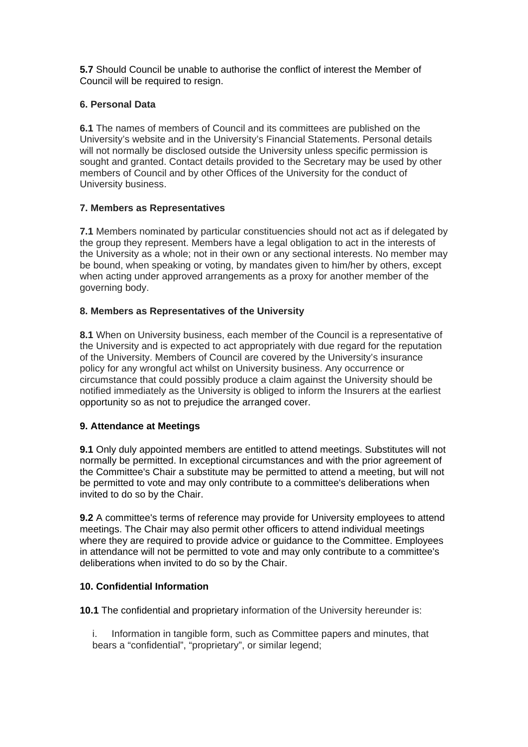**5.7** Should Council be unable to authorise the conflict of interest the Member of Council will be required to resign.

## **6. Personal Data**

**6.1** The names of members of Council and its committees are published on the University's website and in the University's Financial Statements. Personal details will not normally be disclosed outside the University unless specific permission is sought and granted. Contact details provided to the Secretary may be used by other members of Council and by other Offices of the University for the conduct of University business.

## **7. Members as Representatives**

**7.1** Members nominated by particular constituencies should not act as if delegated by the group they represent. Members have a legal obligation to act in the interests of the University as a whole; not in their own or any sectional interests. No member may be bound, when speaking or voting, by mandates given to him/her by others, except when acting under approved arrangements as a proxy for another member of the governing body.

### **8. Members as Representatives of the University**

**8.1** When on University business, each member of the Council is a representative of the University and is expected to act appropriately with due regard for the reputation of the University. Members of Council are covered by the University's insurance policy for any wrongful act whilst on University business. Any occurrence or circumstance that could possibly produce a claim against the University should be notified immediately as the University is obliged to inform the Insurers at the earliest opportunity so as not to prejudice the arranged cover.

### **9. Attendance at Meetings**

**9.1** Only duly appointed members are entitled to attend meetings. Substitutes will not normally be permitted. In exceptional circumstances and with the prior agreement of the Committee's Chair a substitute may be permitted to attend a meeting, but will not be permitted to vote and may only contribute to a committee's deliberations when invited to do so by the Chair.

**9.2** A committee's terms of reference may provide for University employees to attend meetings. The Chair may also permit other officers to attend individual meetings where they are required to provide advice or guidance to the Committee. Employees in attendance will not be permitted to vote and may only contribute to a committee's deliberations when invited to do so by the Chair.

# **10. Confidential Information**

**10.1** The confidential and proprietary information of the University hereunder is:

i. Information in tangible form, such as Committee papers and minutes, that bears a "confidential", "proprietary", or similar legend;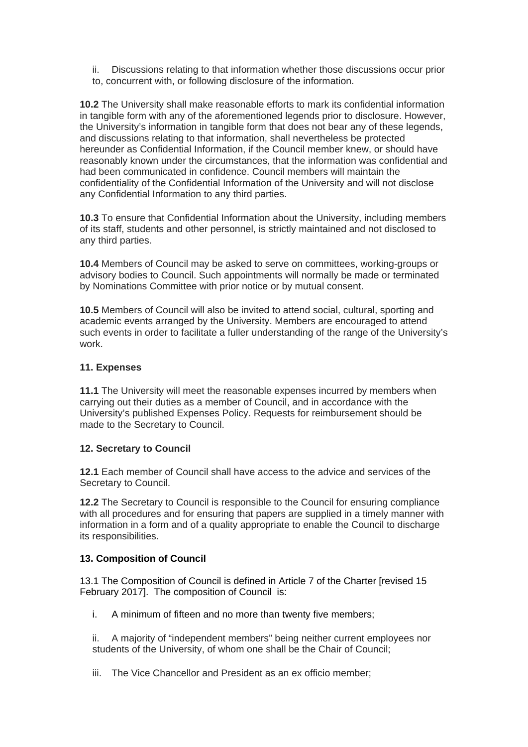ii. Discussions relating to that information whether those discussions occur prior to, concurrent with, or following disclosure of the information.

**10.2** The University shall make reasonable efforts to mark its confidential information in tangible form with any of the aforementioned legends prior to disclosure. However, the University's information in tangible form that does not bear any of these legends, and discussions relating to that information, shall nevertheless be protected hereunder as Confidential Information, if the Council member knew, or should have reasonably known under the circumstances, that the information was confidential and had been communicated in confidence. Council members will maintain the confidentiality of the Confidential Information of the University and will not disclose any Confidential Information to any third parties.

**10.3** To ensure that Confidential Information about the University, including members of its staff, students and other personnel, is strictly maintained and not disclosed to any third parties.

**10.4** Members of Council may be asked to serve on committees, working-groups or advisory bodies to Council. Such appointments will normally be made or terminated by Nominations Committee with prior notice or by mutual consent.

**10.5** Members of Council will also be invited to attend social, cultural, sporting and academic events arranged by the University. Members are encouraged to attend such events in order to facilitate a fuller understanding of the range of the University's work.

### **11. Expenses**

**11.1** The University will meet the reasonable expenses incurred by members when carrying out their duties as a member of Council, and in accordance with the University's published Expenses Policy. Requests for reimbursement should be made to the Secretary to Council.

### **12. Secretary to Council**

**12.1** Each member of Council shall have access to the advice and services of the Secretary to Council.

**12.2** The Secretary to Council is responsible to the Council for ensuring compliance with all procedures and for ensuring that papers are supplied in a timely manner with information in a form and of a quality appropriate to enable the Council to discharge its responsibilities.

# **13. Composition of Council**

13.1 The Composition of Council is defined in Article 7 of the Charter [revised 15 February 2017]. The composition of Council is:

i. A minimum of fifteen and no more than twenty five members;

ii. A majority of "independent members" being neither current employees nor students of the University, of whom one shall be the Chair of Council;

iii. The Vice Chancellor and President as an ex officio member;